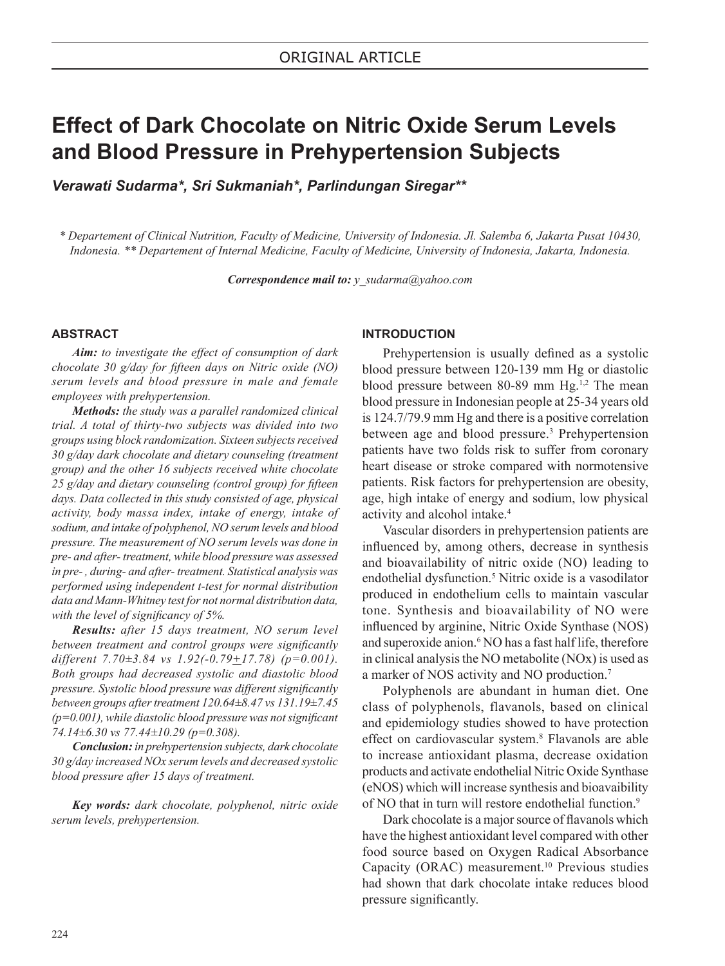# **Effect of Dark Chocolate on Nitric Oxide Serum Levels and Blood Pressure in Prehypertension Subjects**

*Verawati Sudarma\*, Sri Sukmaniah\*, Parlindungan Siregar\*\**

*\* Departement of Clinical Nutrition, Faculty of Medicine, University of Indonesia. Jl. Salemba 6, Jakarta Pusat 10430, Indonesia. \*\* Departement of Internal Medicine, Faculty of Medicine, University of Indonesia, Jakarta, Indonesia.* 

*Correspondence mail to: y\_sudarma@yahoo.com*

## **ABSTRACT**

*Aim: to investigate the effect of consumption of dark chocolate 30 g/day for fifteen days on Nitric oxide (NO) serum levels and blood pressure in male and female employees with prehypertension.*

*Methods: the study was a parallel randomized clinical trial. A total of thirty-two subjects was divided into two groups using block randomization. Sixteen subjects received 30 g/day dark chocolate and dietary counseling (treatment group) and the other 16 subjects received white chocolate 25 g/day and dietary counseling (control group) for fifteen days. Data collected in this study consisted of age, physical activity, body massa index, intake of energy, intake of sodium, and intake of polyphenol, NO serum levels and blood pressure. The measurement of NO serum levels was done in pre- and after- treatment, while blood pressure was assessed in pre- , during- and after- treatment. Statistical analysis was performed using independent t-test for normal distribution data and Mann-Whitney test for not normal distribution data, with the level of significancy of 5%.* 

*Results: after 15 days treatment, NO serum level between treatment and control groups were significantly different 7.70±3.84 vs 1.92(-0.79+17.78) (p=0.001). Both groups had decreased systolic and diastolic blood pressure. Systolic blood pressure was different significantly between groups after treatment 120.64±8.47 vs 131.19±7.45 (p=0.001), while diastolic blood pressure was not significant 74.14±6.30 vs 77.44±10.29 (p=0.308).* 

*Conclusion: in prehypertension subjects, dark chocolate 30 g/day increased NOx serum levels and decreased systolic blood pressure after 15 days of treatment.*

*Key words: dark chocolate, polyphenol, nitric oxide serum levels, prehypertension.*

### **INTRODUCTION**

Prehypertension is usually defined as a systolic blood pressure between 120-139 mm Hg or diastolic blood pressure between 80-89 mm Hg.<sup>1,2</sup> The mean blood pressure in Indonesian people at 25-34 years old is 124.7/79.9 mm Hg and there is a positive correlation between age and blood pressure.<sup>3</sup> Prehypertension patients have two folds risk to suffer from coronary heart disease or stroke compared with normotensive patients. Risk factors for prehypertension are obesity, age, high intake of energy and sodium, low physical activity and alcohol intake.<sup>4</sup>

Vascular disorders in prehypertension patients are influenced by, among others, decrease in synthesis and bioavailability of nitric oxide (NO) leading to endothelial dysfunction.<sup>5</sup> Nitric oxide is a vasodilator produced in endothelium cells to maintain vascular tone. Synthesis and bioavailability of NO were influenced by arginine, Nitric Oxide Synthase (NOS) and superoxide anion.<sup>6</sup> NO has a fast half life, therefore in clinical analysis the NO metabolite (NOx) is used as a marker of NOS activity and NO production.<sup>7</sup>

Polyphenols are abundant in human diet. One class of polyphenols, flavanols, based on clinical and epidemiology studies showed to have protection effect on cardiovascular system.<sup>8</sup> Flavanols are able to increase antioxidant plasma, decrease oxidation products and activate endothelial Nitric Oxide Synthase (eNOS) which will increase synthesis and bioavaibility of NO that in turn will restore endothelial function.<sup>9</sup>

Dark chocolate is a major source of flavanols which have the highest antioxidant level compared with other food source based on Oxygen Radical Absorbance Capacity (ORAC) measurement.<sup>10</sup> Previous studies had shown that dark chocolate intake reduces blood pressure significantly.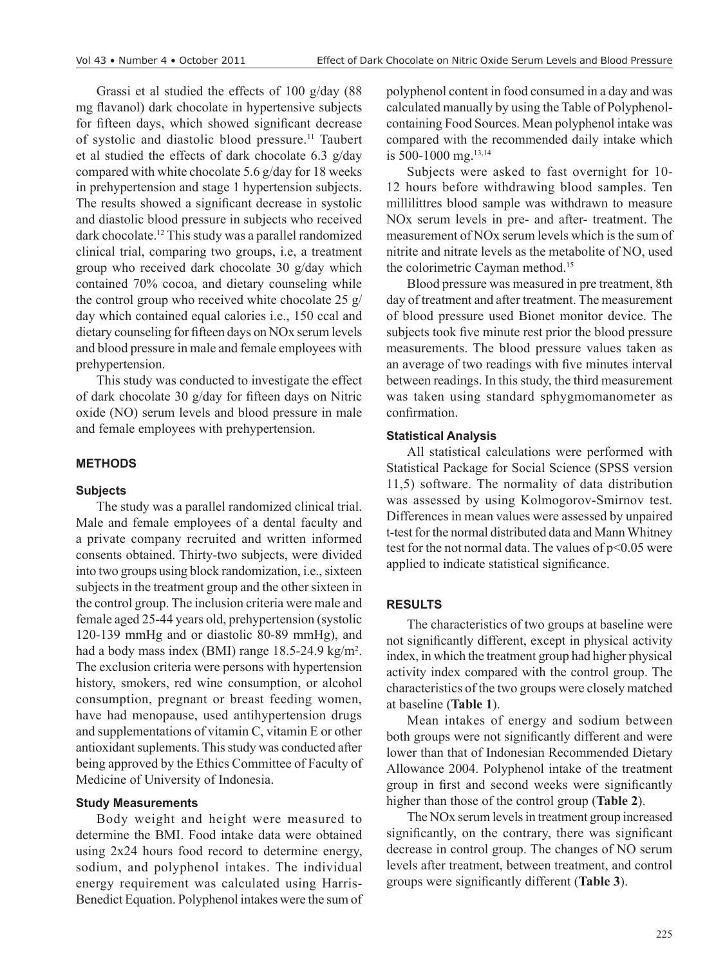Grassi et al studied the effects of 100 g/day (88 mg flavanol) dark chocolate in hypertensive subjects for fifteen days, which showed significant decrease of systolic and diastolic blood pressure.11 Taubert et al studied the effects of dark chocolate 6.3 g/day compared with white chocolate 5.6 g/day for 18 weeks in prehypertension and stage 1 hypertension subjects. The results showed a significant decrease in systolic and diastolic blood pressure in subjects who received dark chocolate.12 This study was a parallel randomized clinical trial, comparing two groups, i.e, a treatment group who received dark chocolate 30 g/day which contained 70% cocoa, and dietary counseling while the control group who received white chocolate 25 g/ day which contained equal calories i.e., 150 ccal and dietary counseling for fifteen days on NOx serum levels and blood pressure in male and female employees with prehypertension.

This study was conducted to investigate the effect of dark chocolate 30 g/day for fifteen days on Nitric oxide (NO) serum levels and blood pressure in male and female employees with prehypertension.

# **METHODS**

## **Subjects**

The study was a parallel randomized clinical trial. Male and female employees of a dental faculty and a private company recruited and written informed consents obtained. Thirty-two subjects, were divided into two groups using block randomization, i.e., sixteen subjects in the treatment group and the other sixteen in the control group. The inclusion criteria were male and female aged 25-44 years old, prehypertension (systolic 120-139 mmHg and or diastolic 80-89 mmHg), and had a body mass index (BMI) range 18.5-24.9 kg/m<sup>2</sup>. The exclusion criteria were persons with hypertension history, smokers, red wine consumption, or alcohol consumption, pregnant or breast feeding women, have had menopause, used antihypertension drugs and supplementations of vitamin C, vitamin E or other antioxidant suplements. This study was conducted after being approved by the Ethics Committee of Faculty of Medicine of University of Indonesia.

# **Study Measurements**

Body weight and height were measured to determine the BMI. Food intake data were obtained using 2x24 hours food record to determine energy, sodium, and polyphenol intakes. The individual energy requirement was calculated using Harris-Benedict Equation. Polyphenol intakes were the sum of polyphenol content in food consumed in a day and was calculated manually by using the Table of Polyphenolcontaining Food Sources. Mean polyphenol intake was compared with the recommended daily intake which is 500-1000 mg.13,14

Subjects were asked to fast overnight for 10- 12 hours before withdrawing blood samples. Ten millilittres blood sample was withdrawn to measure NOx serum levels in pre- and after- treatment. The measurement of NOx serum levels which is the sum of nitrite and nitrate levels as the metabolite of NO, used the colorimetric Cayman method.<sup>15</sup>

Blood pressure was measured in pre treatment, 8th day of treatment and after treatment. The measurement of blood pressure used Bionet monitor device. The subjects took five minute rest prior the blood pressure measurements. The blood pressure values taken as an average of two readings with five minutes interval between readings. In this study, the third measurement was taken using standard sphygmomanometer as confirmation.

#### **Statistical Analysis**

All statistical calculations were performed with Statistical Package for Social Science (SPSS version 11,5) software. The normality of data distribution was assessed by using Kolmogorov-Smirnov test. Differences in mean values were assessed by unpaired t-test for the normal distributed data and Mann Whitney test for the not normal data. The values of p<0.05 were applied to indicate statistical significance.

## **RESULTS**

The characteristics of two groups at baseline were not significantly different, except in physical activity index, in which the treatment group had higher physical activity index compared with the control group. The characteristics of the two groups were closely matched at baseline (**Table 1**).

Mean intakes of energy and sodium between both groups were not significantly different and were lower than that of Indonesian Recommended Dietary Allowance 2004. Polyphenol intake of the treatment group in first and second weeks were significantly higher than those of the control group (**Table 2**).

The NOx serum levels in treatment group increased significantly, on the contrary, there was significant decrease in control group. The changes of NO serum levels after treatment, between treatment, and control groups were significantly different (**Table 3**).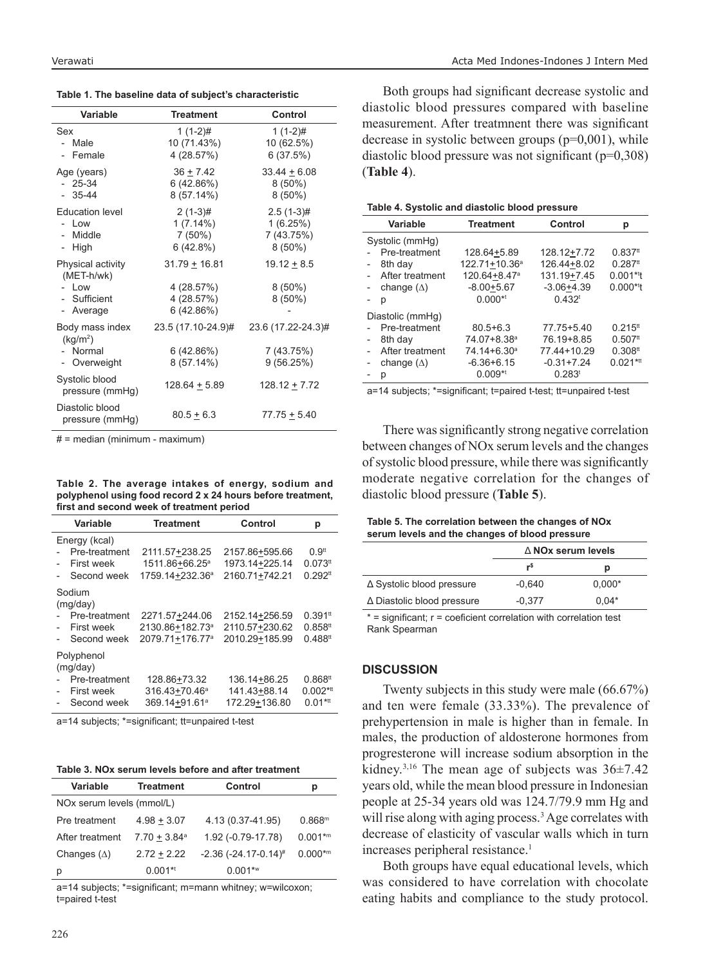**Table 1. The baseline data of subject's characteristic**

| Variable                                                            | <b>Treatment</b>                                          | Control                                             |
|---------------------------------------------------------------------|-----------------------------------------------------------|-----------------------------------------------------|
| Sex<br>- Male<br>- Female                                           | $1(1-2)$ #<br>10 (71.43%)<br>4 (28.57%)                   | $1(1-2)$ #<br>10 (62.5%)<br>6(37.5%)                |
| Age (years)<br>$-25-34$<br>$-35-44$                                 | $36 + 7.42$<br>6(42.86%)<br>$8(57.14\%)$                  | $33.44 \pm 6.08$<br>$8(50\%)$<br>$8(50\%)$          |
| <b>Education level</b><br>- Low<br>- Middle<br>- High               | $2(1-3)$ #<br>$1(7.14\%)$<br>$7(50\%)$<br>6(42.8%)        | $2.5(1-3)$ #<br>1(6.25%)<br>7 (43.75%)<br>$8(50\%)$ |
| Physical activity<br>(MET-h/wk)<br>Low<br>- Sufficient<br>- Average | $31.79 + 16.81$<br>4 (28.57%)<br>4 (28.57%)<br>6 (42.86%) | $19.12 \pm 8.5$<br>$8(50\%)$<br>$8(50\%)$           |
| Body mass index<br>(kq/m <sup>2</sup> )<br>- Normal<br>Overweight   | 23.5 (17.10-24.9)#<br>6 (42.86%)<br>8 (57.14%)            | 23.6 (17.22-24.3)#<br>7 (43.75%)<br>9(56.25%)       |
| Systolic blood<br>pressure (mmHg)                                   | 128.64 ± 5.89                                             | $128.12 \pm 7.72$                                   |
| Diastolic blood<br>pressure (mmHg)                                  | $80.5 \pm 6.3$                                            | $77.75 + 5.40$                                      |

# = median (minimum - maximum)

**Table 2. The average intakes of energy, sodium and polyphenol using food record 2 x 24 hours before treatment, first and second week of treatment period**

| Variable                                                             | <b>Treatment</b>                                                             | Control                                            | р                                                                       |
|----------------------------------------------------------------------|------------------------------------------------------------------------------|----------------------------------------------------|-------------------------------------------------------------------------|
| Energy (kcal)<br>Pre-treatment<br>First week<br>Second week          | 2111.57+238.25<br>1511.86+66.25 <sup>a</sup><br>1759.14+232.36 <sup>a</sup>  | 2157.86+595.66<br>1973.14+225.14<br>2160.71+742.21 | 0.9 <sup>tt</sup><br>$0.073$ <sup>tt</sup><br>$0.292$ <sup>tt</sup>     |
| Sodium<br>(mq/day)<br>Pre-treatment<br>First week<br>Second week     | 2271.57+244.06<br>2130.86+182.73 <sup>a</sup><br>2079.71+176.77 <sup>a</sup> | 2152.14+256.59<br>2110.57+230.62<br>2010.29+185.99 | $0.391$ <sup>tt</sup><br>$0.858$ <sup>tt</sup><br>$0.488$ <sup>tt</sup> |
| Polyphenol<br>(mq/day)<br>Pre-treatment<br>First week<br>Second week | 128.86+73.32<br>316.43+70.46 <sup>a</sup><br>369.14+91.61 <sup>a</sup>       | 136.14+86.25<br>141.43+88.14<br>172.29+136.80      | $0.868$ <sup>tt</sup><br>$0.002$ * <sup>tt</sup><br>$0.01***$           |

a=14 subjects; \*=significant; tt=unpaired t-test

#### **Table 3. NOx serum levels before and after treatment**

| <b>Variable</b>           | <b>Treatment</b>           | Control                                   | р                                  |
|---------------------------|----------------------------|-------------------------------------------|------------------------------------|
| NOx serum levels (mmol/L) |                            |                                           |                                    |
| Pre treatment             | $4.98 + 3.07$              | 4.13 (0.37-41.95)                         | 0.868 <sup>m</sup>                 |
| After treatment           | $7.70 + 3.84$ <sup>a</sup> | 1.92 (-0.79-17.78)                        | $0.001^{km}$                       |
| Changes $(\Delta)$        | $2.72 + 2.22$              | $-2.36$ ( $-24.17$ $-0.14$ ) <sup>#</sup> | $0.000*$ <sup><math>m</math></sup> |
| р                         | $0.001**$                  | $0.001***$                                |                                    |

a=14 subjects; \*=significant; m=mann whitney; w=wilcoxon; t=paired t-test

Both groups had significant decrease systolic and diastolic blood pressures compared with baseline measurement. After treatmnent there was significant decrease in systolic between groups  $(p=0,001)$ , while diastolic blood pressure was not significant (p=0,308) (**Table 4**).

#### **Table 4. Systolic and diastolic blood pressure**

| Variable          | <b>Treatment</b>          | Control              | р                       |
|-------------------|---------------------------|----------------------|-------------------------|
| Systolic (mmHg)   |                           |                      |                         |
| Pre-treatment     | 128.64+5.89               | 128.12+7.72          | $0.837$ <sup>tt</sup>   |
| 8th day           | 122.71+10.36 <sup>a</sup> | 126.44+8.02          | $0.287$ <sup>tt</sup>   |
| After treatment   | 120.64+8.47 <sup>a</sup>  | 131.19+7.45          | $0.001*$ <sup>t</sup> t |
| change $(\Delta)$ | $-8.00 + 5.67$            | $-3.06 + 4.39$       | $0.000*$ <sup>*t</sup>  |
| р                 | $0.000*$                  | 0.432 <sup>t</sup>   |                         |
| Diastolic (mmHg)  |                           |                      |                         |
| Pre-treatment     | $80.5 + 6.3$              | 77.75+5.40           | $0.215$ <sup>tt</sup>   |
| 8th day           | 74.07+8.38 <sup>a</sup>   | 76.19+8.85           | $0.507$ <sup>tt</sup>   |
| After treatment   | 74.14+6.30 <sup>a</sup>   | 77.44+10.29          | $0.308$ <sup>tt</sup>   |
| change $(\Delta)$ | $-6.36 + 6.15$            | $-0.31 + 7.24$       | $0.021$ * <sup>tt</sup> |
| D                 | $0.009**$                 | $0.283$ <sup>t</sup> |                         |

a=14 subjects; \*=significant; t=paired t-test; tt=unpaired t-test

There was significantly strong negative correlation between changes of NOx serum levels and the changes of systolic blood pressure, while there was significantly moderate negative correlation for the changes of diastolic blood pressure (**Table 5**).

**Table 5. The correlation between the changes of NOx serum levels and the changes of blood pressure**

|                                   | $\triangle$ NOx serum levels |          |
|-----------------------------------|------------------------------|----------|
|                                   | r\$                          | р        |
| $\Delta$ Systolic blood pressure  | $-0.640$                     | $0.000*$ |
| $\Delta$ Diastolic blood pressure | $-0.377$                     | $0.04*$  |

\* = significant; r = coeficient correlation with correlation test Rank Spearman

#### **DISCUSSION**

Twenty subjects in this study were male (66.67%) and ten were female (33.33%). The prevalence of prehypertension in male is higher than in female. In males, the production of aldosterone hormones from progresterone will increase sodium absorption in the kidney.<sup>3,16</sup> The mean age of subjects was  $36\pm7.42$ years old, while the mean blood pressure in Indonesian people at 25-34 years old was 124.7/79.9 mm Hg and will rise along with aging process.<sup>3</sup> Age correlates with decrease of elasticity of vascular walls which in turn increases peripheral resistance.<sup>1</sup>

Both groups have equal educational levels, which was considered to have correlation with chocolate eating habits and compliance to the study protocol.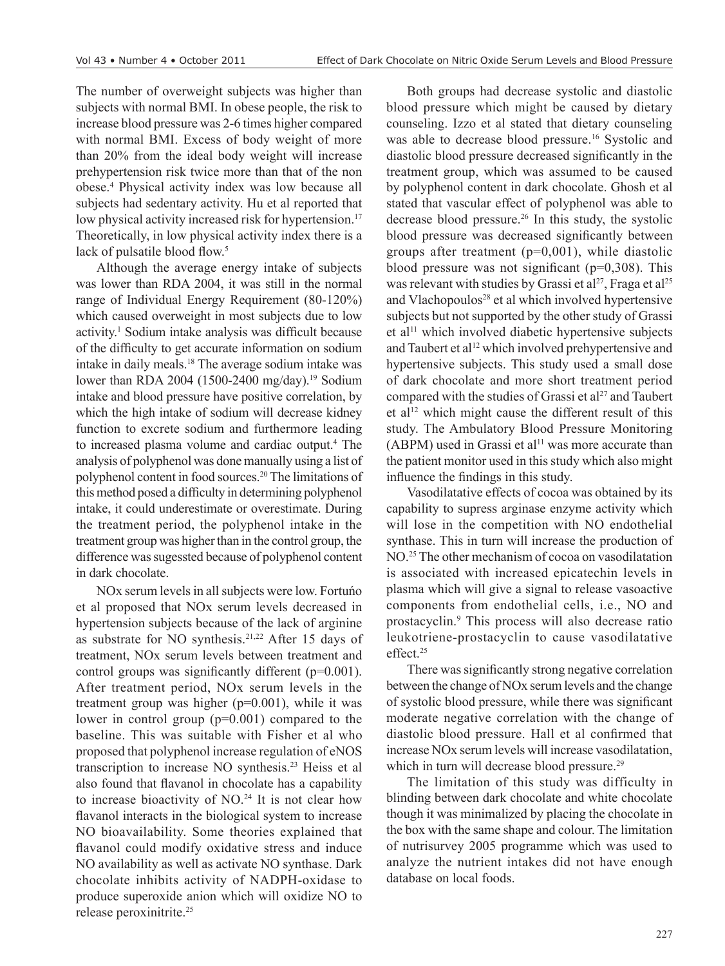The number of overweight subjects was higher than subjects with normal BMI. In obese people, the risk to increase blood pressure was 2-6 times higher compared with normal BMI. Excess of body weight of more than 20% from the ideal body weight will increase prehypertension risk twice more than that of the non obese.4 Physical activity index was low because all subjects had sedentary activity. Hu et al reported that low physical activity increased risk for hypertension.<sup>17</sup> Theoretically, in low physical activity index there is a lack of pulsatile blood flow.<sup>5</sup>

Although the average energy intake of subjects was lower than RDA 2004, it was still in the normal range of Individual Energy Requirement (80-120%) which caused overweight in most subjects due to low activity.<sup>1</sup> Sodium intake analysis was difficult because of the difficulty to get accurate information on sodium intake in daily meals.18 The average sodium intake was lower than RDA 2004 (1500-2400 mg/day).<sup>19</sup> Sodium intake and blood pressure have positive correlation, by which the high intake of sodium will decrease kidney function to excrete sodium and furthermore leading to increased plasma volume and cardiac output.<sup>4</sup> The analysis of polyphenol was done manually using a list of polyphenol content in food sources.20 The limitations of this method posed a difficulty in determining polyphenol intake, it could underestimate or overestimate. During the treatment period, the polyphenol intake in the treatment group was higher than in the control group, the difference was sugessted because of polyphenol content in dark chocolate.

NOx serum levels in all subjects were low. Fortuńo et al proposed that NOx serum levels decreased in hypertension subjects because of the lack of arginine as substrate for NO synthesis.<sup>21,22</sup> After 15 days of treatment, NOx serum levels between treatment and control groups was significantly different (p=0.001). After treatment period, NOx serum levels in the treatment group was higher (p=0.001), while it was lower in control group (p=0.001) compared to the baseline. This was suitable with Fisher et al who proposed that polyphenol increase regulation of eNOS transcription to increase NO synthesis.23 Heiss et al also found that flavanol in chocolate has a capability to increase bioactivity of  $NO.<sup>24</sup>$  It is not clear how flavanol interacts in the biological system to increase NO bioavailability. Some theories explained that flavanol could modify oxidative stress and induce NO availability as well as activate NO synthase. Dark chocolate inhibits activity of NADPH-oxidase to produce superoxide anion which will oxidize NO to release peroxinitrite.25

Both groups had decrease systolic and diastolic blood pressure which might be caused by dietary counseling. Izzo et al stated that dietary counseling was able to decrease blood pressure.<sup>16</sup> Systolic and diastolic blood pressure decreased significantly in the treatment group, which was assumed to be caused by polyphenol content in dark chocolate. Ghosh et al stated that vascular effect of polyphenol was able to decrease blood pressure.<sup>26</sup> In this study, the systolic blood pressure was decreased significantly between groups after treatment  $(p=0,001)$ , while diastolic blood pressure was not significant  $(p=0,308)$ . This was relevant with studies by Grassi et al<sup>27</sup>, Fraga et al<sup>25</sup> and Vlachopoulos<sup>28</sup> et al which involved hypertensive subjects but not supported by the other study of Grassi et al<sup>11</sup> which involved diabetic hypertensive subjects and Taubert et al<sup>12</sup> which involved prehypertensive and hypertensive subjects. This study used a small dose of dark chocolate and more short treatment period compared with the studies of Grassi et al<sup>27</sup> and Taubert et al<sup>12</sup> which might cause the different result of this study. The Ambulatory Blood Pressure Monitoring  $(ABPM)$  used in Grassi et al<sup>11</sup> was more accurate than the patient monitor used in this study which also might influence the findings in this study.

Vasodilatative effects of cocoa was obtained by its capability to supress arginase enzyme activity which will lose in the competition with NO endothelial synthase. This in turn will increase the production of NO.<sup>25</sup> The other mechanism of cocoa on vasodilatation is associated with increased epicatechin levels in plasma which will give a signal to release vasoactive components from endothelial cells, i.e., NO and prostacyclin.<sup>9</sup> This process will also decrease ratio leukotriene-prostacyclin to cause vasodilatative effect.<sup>25</sup>

There was significantly strong negative correlation between the change of NOx serum levels and the change of systolic blood pressure, while there was significant moderate negative correlation with the change of diastolic blood pressure. Hall et al confirmed that increase NOx serum levels will increase vasodilatation, which in turn will decrease blood pressure.<sup>29</sup>

The limitation of this study was difficulty in blinding between dark chocolate and white chocolate though it was minimalized by placing the chocolate in the box with the same shape and colour. The limitation of nutrisurvey 2005 programme which was used to analyze the nutrient intakes did not have enough database on local foods.